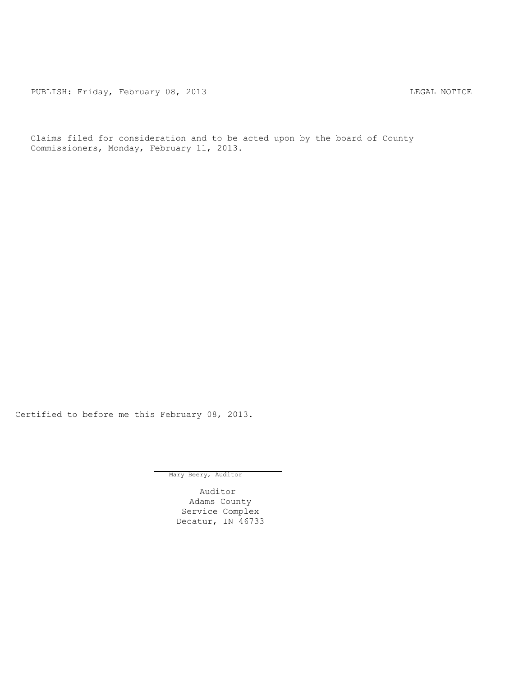PUBLISH: Friday, February 08, 2013 CHECH CONSERVITY CONTROL CONTROL CONTROL PUBLISH: FRIDAY, FEBRUARY 08, 2013

Claims filed for consideration and to be acted upon by the board of County Commissioners, Monday, February 11, 2013.

Certified to before me this February 08, 2013.

Mary Beery, Auditor

Auditor Adams County Service Complex Decatur, IN 46733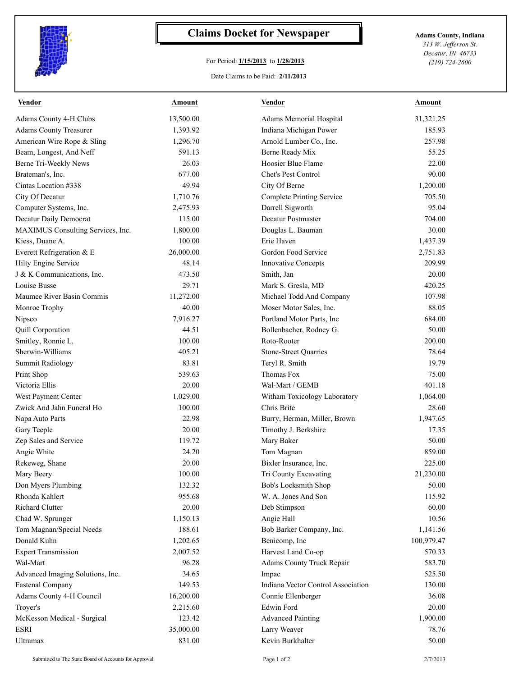

## **Claims Docket for Newspaper Adams County, Indiana**

## For Period: **1/15/2013** to **1/28/2013**

*313 W. Jefferson St. Decatur, IN 46733 (219) 724-2600*

## Date Claims to be Paid: **2/11/2013**

| <u>Vendor</u>                     | <b>Amount</b> | <u>Vendor</u>                      | <u>Amount</u> |
|-----------------------------------|---------------|------------------------------------|---------------|
| <b>Adams County 4-H Clubs</b>     | 13,500.00     | Adams Memorial Hospital            | 31,321.25     |
| <b>Adams County Treasurer</b>     | 1,393.92      | Indiana Michigan Power             | 185.93        |
| American Wire Rope & Sling        | 1,296.70      | Arnold Lumber Co., Inc.            | 257.98        |
| Beam, Longest, And Neff           | 591.13        | Berne Ready Mix                    | 55.25         |
| Berne Tri-Weekly News             | 26.03         | Hoosier Blue Flame                 | 22.00         |
| Brateman's, Inc.                  | 677.00        | Chet's Pest Control                | 90.00         |
| Cintas Location #338              | 49.94         | City Of Berne                      | 1,200.00      |
| City Of Decatur                   | 1,710.76      | <b>Complete Printing Service</b>   | 705.50        |
| Computer Systems, Inc.            | 2,475.93      | Darrell Sigworth                   | 95.04         |
| Decatur Daily Democrat            | 115.00        | Decatur Postmaster                 | 704.00        |
| MAXIMUS Consulting Services, Inc. | 1,800.00      | Douglas L. Bauman                  | 30.00         |
| Kiess, Duane A.                   | 100.00        | Erie Haven                         | 1,437.39      |
| Everett Refrigeration & E         | 26,000.00     | Gordon Food Service                | 2,751.83      |
| Hilty Engine Service              | 48.14         | <b>Innovative Concepts</b>         | 209.99        |
| J & K Communications, Inc.        | 473.50        | Smith, Jan                         | 20.00         |
| Louise Busse                      | 29.71         | Mark S. Gresla, MD                 | 420.25        |
| Maumee River Basin Commis         | 11,272.00     | Michael Todd And Company           | 107.98        |
| Monroe Trophy                     | 40.00         | Moser Motor Sales, Inc.            | 88.05         |
| Nipsco                            | 7,916.27      | Portland Motor Parts, Inc          | 684.00        |
| Quill Corporation                 | 44.51         | Bollenbacher, Rodney G.            | 50.00         |
| Smitley, Ronnie L.                | 100.00        | Roto-Rooter                        | 200.00        |
| Sherwin-Williams                  | 405.21        | <b>Stone-Street Quarries</b>       | 78.64         |
| <b>Summit Radiology</b>           | 83.81         | Teryl R. Smith                     | 19.79         |
| Print Shop                        | 539.63        | Thomas Fox                         | 75.00         |
| Victoria Ellis                    | 20.00         | Wal-Mart / GEMB                    | 401.18        |
| West Payment Center               | 1,029.00      | Witham Toxicology Laboratory       | 1,064.00      |
| Zwick And Jahn Funeral Ho         | 100.00        | Chris Brite                        | 28.60         |
| Napa Auto Parts                   | 22.98         | Burry, Herman, Miller, Brown       | 1,947.65      |
| Gary Teeple                       | 20.00         | Timothy J. Berkshire               | 17.35         |
| Zep Sales and Service             | 119.72        | Mary Baker                         | 50.00         |
| Angie White                       | 24.20         | Tom Magnan                         | 859.00        |
| Rekeweg, Shane                    | 20.00         | Bixler Insurance, Inc.             | 225.00        |
| Mary Beery                        | 100.00        | Tri County Excavating              | 21,230.00     |
| Don Myers Plumbing                | 132.32        | Bob's Locksmith Shop               | 50.00         |
| Rhonda Kahlert                    | 955.68        | W. A. Jones And Son                | 115.92        |
| Richard Clutter                   | 20.00         | Deb Stimpson                       | 60.00         |
| Chad W. Sprunger                  | 1,150.13      | Angie Hall                         | 10.56         |
| Tom Magnan/Special Needs          | 188.61        | Bob Barker Company, Inc.           | 1,141.56      |
| Donald Kuhn                       | 1,202.65      | Benicomp, Inc                      | 100,979.47    |
| <b>Expert Transmission</b>        | 2,007.52      | Harvest Land Co-op                 | 570.33        |
| Wal-Mart                          | 96.28         | Adams County Truck Repair          | 583.70        |
| Advanced Imaging Solutions, Inc.  | 34.65         | Impac                              | 525.50        |
| <b>Fastenal Company</b>           | 149.53        | Indiana Vector Control Association | 130.00        |
| Adams County 4-H Council          | 16,200.00     | Connie Ellenberger                 | 36.08         |
| Troyer's                          | 2,215.60      | Edwin Ford                         | 20.00         |
| McKesson Medical - Surgical       | 123.42        | <b>Advanced Painting</b>           | 1,900.00      |
| ESRI                              | 35,000.00     | Larry Weaver                       | 78.76         |
| Ultramax                          | 831.00        | Kevin Burkhalter                   | 50.00         |
|                                   |               |                                    |               |